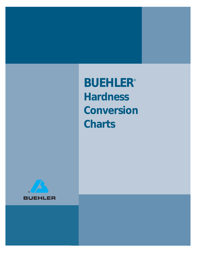*BUEHLER*® *Hardness Conversion Charts*

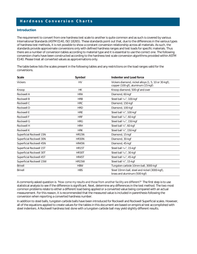### *Hardness Conversion Charts*

#### *Introduction*

The requirement to convert from one hardness test scale to another is quite common and as such is covered by various International Standards (ASTM E140, ISO 18265). These standards point out that, due to the differences in the various types of hardness test methods, it is not possible to show a constant conversion relationship across all materials. As such, the standards provide approximate conversions only with defined hardness ranges and test loads for specific materials. Thus there are a number of conversion tables according to material type and it is essential to use the correct one. The following conversion charts have been constructed according to the hardness test scale conversion algorithms provided within ASTM E140. Please treat all converted values as approximations only.

The table below lists the scales present in the following tables and any restrictions on the load ranges valid for the conversions.

| <b>Scale</b>             | Symbol                                  | Indenter and Load force                                                                    |  |  |
|--------------------------|-----------------------------------------|--------------------------------------------------------------------------------------------|--|--|
| <b>Vickers</b>           | <b>HV</b>                               | Vickers diamond, nickel alloys (1, 5, 10 or 30-kgf),<br>copper (100-gf), aluminum (15-kgf) |  |  |
| Knoop                    | <b>HK</b>                               | Knoop diamond, 500-gf and over                                                             |  |  |
| Rockwell A               | <b>HRA</b>                              | Diamond, 60-kgf                                                                            |  |  |
| <b>Rockwell B</b>        | Steel ball 1/16", 100-kgf<br><b>HRB</b> |                                                                                            |  |  |
| Rockwell C               | <b>HRC</b>                              | Diamond, 150-kgf                                                                           |  |  |
| Rockwell D               | <b>HRD</b>                              | Diamond, 100-kgf                                                                           |  |  |
| <b>Rockwell E</b>        | <b>HRE</b>                              | Steel ball 1/8", 100-kgf                                                                   |  |  |
| <b>Rockwell F</b>        | <b>HRF</b>                              | Steel ball 1/16", 60-kgf                                                                   |  |  |
| Rockwell G<br><b>HRG</b> |                                         | Steel ball 1/16", 150-kgf                                                                  |  |  |
| Rockwell H               | <b>HRH</b>                              | Steel ball 1/8", 60-kgf                                                                    |  |  |
| Rockwell K               | <b>HRK</b>                              | Steel ball 1/8", 150-kgf                                                                   |  |  |
| Superficial Rockwell 15N | <b>HR15N</b>                            | Diamond, 15-kgf                                                                            |  |  |
| Superficial Rockwell 30N | HR30N                                   | Diamond, 30-kgf                                                                            |  |  |
| Superficial Rockwell 45N | HR45N                                   | Diamond, 45-kgf                                                                            |  |  |
| Superficial Rockwell 15T | <b>HR15T</b>                            | Steel ball 1/16", 15-kgf                                                                   |  |  |
| Superficial Rockwell 30T | HR30T                                   | Steel ball 1/16", 30-kgf                                                                   |  |  |
| Superficial Rockwell 45T | <b>HR45T</b>                            | Steel ball 1/16", 45-kgf                                                                   |  |  |
| Superficial Rockwell 15W | <b>HR15W</b>                            | Steel ball 1/8", 15-kgf                                                                    |  |  |
| <b>Brinell</b>           | <b>HBW</b>                              | Tungsten carbide 10mm ball, 3000-kgf                                                       |  |  |
| <b>Brinell</b>           | <b>HBS</b>                              | Steel 10mm ball, steel and nickel (3000-kgf),<br>brass and aluminum (500-kgf)              |  |  |

A commonly asked question is *"How come my results and those from another facility are different?"* The first step is to use statistical analysis to see if the difference is significant. Next, determine any differences in the test method. The two most common problems relate to either a different load being applied or a converted value being compared with an actual measurement. For this reason, it is recommended that the measured value is included in parenthesis following the conversion when reporting a converted hardness number.

In addition to steel balls, tungsten carbide balls have been introduced for Rockwell and Rockwell Superficial scales. However, all of the equations applied to create values for the tables in this document are based on empirical test accomplished with steel indenters. A Rockwell hardness test done with a tungsten carbide ball may yield slightly different results.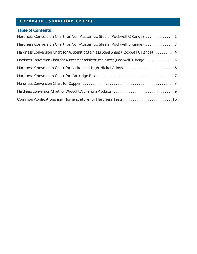## *Hardness Conversion Charts*

### *Table of Contents*

| Hardness Conversion Chart for Non-Austenitic Steels (Rockwell C Range) 1                                            |
|---------------------------------------------------------------------------------------------------------------------|
| Hardness Conversion Chart for Non-Austenitic Steels (Rockwell B Range) 3                                            |
| Hardness Conversion Chart for Austenitic Stainless Steel Sheet (Rockwell C Range) 4                                 |
| Hardness Conversion Chart for Austenitic Stainless Steel Sheet (Rockwell B Range) 5                                 |
|                                                                                                                     |
|                                                                                                                     |
| Hardness Conversion Chart for Copper (and all contained and all contained and all contacts are all contacts and $8$ |
|                                                                                                                     |
| Common Applications and Nomenclature for Hardness Tests 10                                                          |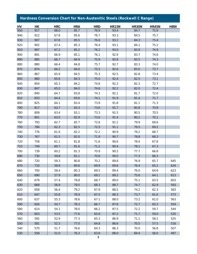# *Hardness Conversion Chart for Non-Austenitic Steels (Rockwell C Range)*

| HV  | НK  | <b>HRC</b> | <b>HRA</b> | <b>HRD</b> | <b>HR15N</b> | <b>HR30N</b> | <b>HR45N</b> | <b>HBW</b> |
|-----|-----|------------|------------|------------|--------------|--------------|--------------|------------|
| 950 | 917 | 68.0       | 85.7       | 76.9       | 93.4         | 84.7         | 75.9         |            |
| 940 | 912 | 67.8       | 85.6       | 76.7       | 93.3         | 84.5         | 75.7         |            |
| 930 | 907 | 67.6       | 85.5       | 76.6       | 93.2         | 84.3         | 75.4         |            |
| 920 | 902 | 67.4       | 85.3       | 76.4       | 93.1         | 84.1         | 75.2         |            |
| 910 | 897 | 67.2       | 85.2       | 76.2       | 93.0         | 83.9         | 74.9         |            |
| 900 | 891 | 66.9       | 85.1       | 76.1       | 92.9         | 83.7         | 74.6         |            |
| 890 | 885 | 66.7       | 84.9       | 75.9       | 92.8         | 83.5         | 74.3         |            |
| 880 | 880 | 66.4       | 84.8       | 75.7       | 92.7         | 83.3         | 74.0         |            |
| 870 | 874 | 66.2       | 84.6       | 75.5       | 92.6         | 83.0         | 73.7         |            |
| 860 | 867 | 65.9       | 84.5       | 75.3       | 92.5         | 82.8         | 73.4         |            |
| 850 | 860 | 65.6       | 84.3       | 75.0       | 92.4         | 82.5         | 73.1         |            |
| 840 | 854 | 65.3       | 84.2       | 74.8       | 92.3         | 82.3         | 72.7         |            |
| 830 | 847 | 65.0       | 84.0       | 74.6       | 92.2         | 82.0         | 72.4         |            |
| 820 | 840 | 64.7       | 83.8       | 74.3       | 92.1         | 81.7         | 72.0         |            |
| 810 | 833 | 64.4       | 83.6       | 74.1       | 91.9         | 81.4         | 71.7         |            |
| 800 | 825 | 64.1       | 83.4       | 73.9       | 91.8         | 81.1         | 71.3         |            |
| 790 | 817 | 63.7       | 83.3       | 73.6       | 91.7         | 80.8         | 70.9         |            |
| 780 | 809 | 63.4       | 83.1       | 73.3       | 91.5         | 80.5         | 70.5         |            |
| 770 | 801 | 63.0       | 82.9       | 73.0       | 91.4         | 80.2         | 70.1         |            |
| 760 | 793 | 62.7       | 82.7       | 72.8       | 91.2         | 79.9         | 69.6         |            |
| 750 | 784 | 62.3       | 82.5       | 72.5       | 91.1         | 79.5         | 69.2         |            |
| 740 | 776 | 61.9       | 82.2       | 72.2       | 90.9         | 79.2         | 68.7         |            |
| 730 | 767 | 61.5       | 82.0       | 71.9       | 90.7         | 78.8         | 68.3         |            |
| 720 | 758 | 61.1       | 81.8       | 71.6       | 90.6         | 78.4         | 67.8         |            |
| 710 | 749 | 60.7       | 81.6       | 71.2       | 90.4         | 78.1         | 67.3         |            |
| 700 | 739 | 60.2       | 81.3       | 70.9       | 90.2         | 77.7         | 66.8         |            |
| 690 | 730 | 59.8       | 81.1       | 70.6       | 90.0         | 77.3         | 66.3         |            |
| 680 | 720 | 59.3       | 80.8       | 70.2       | 89.8         | 76.9         | 65.7         | 645        |
| 670 | 710 | 58.9       | 80.6       | 69.9       | 89.6         | 76.4         | 65.2         | 634        |
| 660 | 700 | 58.4       | 80.3       | 69.5       | 89.4         | 76.0         | 64.6         | 623        |
| 650 | 690 | 57.9       | 80.0       | 69.1       | 89.2         | 75.6         | 64.1         | 613        |
| 640 | 679 | 57.4       | 79.8       | 68.7       | 89.0         | 75.1         | 63.5         | 603        |
| 630 | 669 | 56.9       | 79.5       | 68.3       | 88.7         | 74.7         | 62.9         | 593        |
| 620 | 658 | 56.4       | 79.2       | 67.9       | 88.5         | 74.2         | 62.3         | 583        |
| 610 | 647 | 55.8       | 78.9       | 67.5       | 88.3         | 73.7         | 61.6         | 573        |
| 600 | 637 | 55.3       | 78.6       | 67.1       | 88.0         | 73.2         | 61.0         | 563        |
| 590 | 626 | 54.7       | 78.3       | 66.7       | 87.8         | 72.7         | 60.3         | 554        |
| 580 | 614 | 54.1       | 78.0       | 66.2       | 87.5         | 72.2         | 59.7         | 544        |
| 570 | 603 | 53.5       | 77.6       | 65.8       | 87.2         | 71.7         | 59.0         | 535        |
| 560 | 592 | 52.9       | 77.3       | 65.3       | 86.9         | 71.1         | 58.2         | 525        |
| 550 | 581 | 52.3       | 77.0       | 64.8       | 86.6         | 70.5         | 57.5         | 516        |
| 540 | 570 | 51.7       | 76.6       | 64.3       | 86.3         | 70.0         | 56.8         | 507        |
| 530 | 558 | 51.0       | 76.3       | 63.8       | 86.0         | 69.4         | 56.0         | 497        |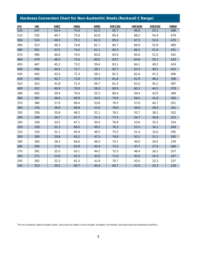# *Hardness Conversion Chart for Non-Austenitic Steels (Rockwell C Range)*

| HV  | H K | <b>HRC</b> | <b>HRA</b> | <b>HRD</b> | <b>HR15N</b> | <b>HR30N</b> | <b>HR45N</b> | <b>HBW</b> |
|-----|-----|------------|------------|------------|--------------|--------------|--------------|------------|
| 520 | 547 | 50.4       | 75.9       | 63.3       | 85.7         | 68.8         | 55.2         | 488        |
| 510 | 535 | 49.7       | 75.6       | 62.8       | 85.4         | 68.2         | 54.4         | 479        |
| 500 | 524 | 49.0       | 75.2       | 62.3       | 85.0         | 67.5         | 53.6         | 470        |
| 490 | 513 | 48.3       | 74.8       | 61.7       | 84.7         | 66.9         | 52.8         | 460        |
| 480 | 501 | 47.5       | 74.4       | 61.1       | 84.3         | 66.2         | 51.9         | 451        |
| 470 | 490 | 46.8       | 74.0       | 60.6       | 83.9         | 65.6         | 51.0         | 442        |
| 460 | 479 | 46.0       | 73.6       | 60.0       | 83.5         | 64.8         | 50.1         | 433        |
| 450 | 467 | 45.2       | 73.2       | 59.4       | 83.1         | 64.1         | 49.2         | 424        |
| 440 | 456 | 44.4       | 72.7       | 58.7       | 82.7         | 63.4         | 48.2         | 415        |
| 430 | 445 | 43.5       | 72.3       | 58.1       | 82.3         | 62.6         | 47.2         | 406        |
| 420 | 434 | 42.7       | 71.8       | 57.4       | 81.8         | 61.9         | 46.2         | 396        |
| 410 | 423 | 41.8       | 71.4       | 56.7       | 81.4         | 61.0         | 45.2         | 387        |
| 400 | 412 | 40.9       | 70.9       | 56.0       | 80.9         | 60.2         | 44.1         | 378        |
| 390 | 402 | 39.9       | 70.4       | 55.3       | 80.4         | 59.4         | 43.0         | 369        |
| 380 | 391 | 38.9       | 69.9       | 54.5       | 79.9         | 58.5         | 41.8         | 360        |
| 370 | 380 | 37.9       | 69.4       | 53.8       | 79.3         | 57.6         | 40.7         | 351        |
| 360 | 370 | 36.9       | 68.8       | 53.0       | 78.8         | 56.6         | 39.4         | 341        |
| 350 | 359 | 35.8       | 68.3       | 52.1       | 78.2         | 55.7         | 38.2         | 332        |
| 340 | 349 | 34.7       | 67.7       | 51.3       | 77.5         | 54.7         | 36.9         | 323        |
| 330 | 339 | 33.5       | 67.1       | 50.4       | 76.9         | 53.6         | 35.5         | 314        |
| 320 | 329 | 32.3       | 66.5       | 49.5       | 76.3         | 52.5         | 34.1         | 304        |
| 310 | 319 | 31.1       | 65.9       | 48.5       | 75.5         | 51.4         | 32.6         | 295        |
| 300 | 309 | 29.8       | 65.2       | 47.5       | 74.8         | 50.2         | 31.1         | 285        |
| 290 | 300 | 28.4       | 64.6       | 46.5       | 74.1         | 49.0         | 29.5         | 276        |
| 280 | 290 | 27.0       | 63.9       | 45.4       | 73.3         | 47.7         | 27.9         | 266        |
| 270 | 281 | 25.5       | 63.1       | 44.2       | 72.5         | 46.4         | 26.1         | 257        |
| 260 | 271 | 23.9       | 62.3       | 43.0       | 71.6         | 45.0         | 24.3         | 247        |
| 250 | 262 | 22.3       | 61.5       | 41.8       | 70.7         | 43.5         | 22.3         | 237        |
| 240 | 253 | 20.5       | 60.7       | 40.4       | 69.7         | 41.9         | 20.3         | 228        |

*The non-austenitic steels included carbon, alloy and tool steels in the as-forged, annealed, normalized, and quenched and tempered conditions.*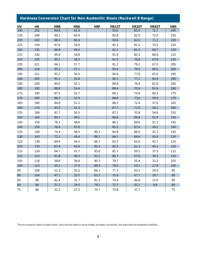### *Hardness Conversion Chart for Non-Austenitic Steels (Rockwell B Range) HV HK HRB HRA HRF HR15T HR30T HR45T HBS* 240 | 252 | 99.8 | 61.4 | | 93.0 | 83.0 | 72.7 | 240 235 | 248 | 99.1 | 60.9 | | 92.8 | 82.5 | 72.0 | 235 230 | 243 | 98.4 | 60.4 | | 92.6 | 82.0 | 71.2 | 230 225 239 97.6 59.9 92.3 81.5 70.5 225 220 235 96.8 59.4 92.1 81.0 69.7 220 215 | 230 | 95.9 | 58.8 | | 91.8 | 80.4 | 68.8 | 215 210 | 225 | 95.1 | 58.3 | | 91.5 | 79.8 | 67.9 | 210 205 221 94.1 57.7 91.2 79.2 67.0 205 200 216 93.2 57.1 90.9 78.6 66.0 200 195 | 211 | 92.2 | 56.5 | | 90.6 | 77.9 | 65.0 | 195 190 | 205 | 91.1 | 55.8 | | 90.2 | 77.1 | 63.9 | 190 185 | 200 | 90.0 | 55.1 | | 89.8 | 76.4 | 62.8 | 185

180 | 195 | 88.8 | 54.4 | | 89.4 | 75.6 | 61.6 | 180 175 | 190 | 87.5 | 53.7 | | 89.1 | 74.8 | 60.4 | 175 170 | 185 | 86.2 | 52.9 | | 88.6 | 73.9 | 59.0 | 170 165 | 180 | 84.8 | 52.2 | | 88.2 | 72.9 | 57.6 | 165 160 | 174 | 83.3 | 51.3 | | 87.7 | 72.0 | 56.1 | 160 155 | 169 | 81.7 | 50.5 | | 87.2 | 70.9 | 54.6 | 155 150 | 164 | 80.1 | 49.5 | | 86.6 | 69.8 | 52.9 | 150 145 | 159 | 78.3 | 48.6 | | 86.1 | 68.6 | 51.1 | 145 140 | 154 | 76.4 | 47.6 | | 85.5 | 67.4 | 49.2 | 140 135 149 74.4 46.5 99.3 84.8 66.0 47.2 135 130 | 143 | 72.2 | 45.4 | 98.1 | 84.1 | 64.6 | 45.0 | 130 125 138 69.9 44.3 96.7 83.3 63.0 42.7 125 120 133 67.4 43.0 95.3 82.5 61.3 40.2 120 115 | 128 | 64.7 | 41.7 | 93.8 | 81.7 | 59.5 | 37.5 | 115 110 | 123 | 61.8 | 40.3 | 92.1 | 80.7 | 57.6 | 34.5 | 110 105 | 118 | 58.6 | 38.8 | 90.3 | 79.7 | 55.4 | 31.3 | 105 100 | 113 | 55.1 | 37.3 | 88.3 | 78.5 | 53.1 | 27.8 | 100 95 | 109 | 51.3 | 35.5 | 86.1 | 77.3 | 50.5 | 24.0 | 95 90 | 104 | 47.1 | 33.7 | 83.7 | 75.9 | 47.7 | 19.7 | 90 85 | 99 | 42.4 | 31.7 | 81.1 | 74.4 | 44.6 | 15.0 | 85 80 | 94 | 37.1 | 29.5 | 78.1 | 72.7 | 41.1 | 9.8 | 80 75 89 31.2 27.2 74.7 70.8 37.1 75

*The non-austenitic steels included carbon, alloy and tool steels in the as-forged, annealed, normalized, and quenched and tempered conditions.* 

#### *3*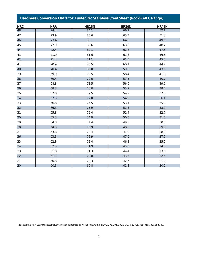| Hardness Conversion Chart for Austenitic Stainless Steel Sheet (Rockwell C Range) |            |              |              |              |  |  |  |  |
|-----------------------------------------------------------------------------------|------------|--------------|--------------|--------------|--|--|--|--|
| <b>HRC</b>                                                                        | <b>HRA</b> | <b>HR15N</b> | <b>HR30N</b> | <b>HR45N</b> |  |  |  |  |
| 48                                                                                | 74.4       | 84.1         | 66.2         | 52.1         |  |  |  |  |
| 47                                                                                | 73.9       | 83.6         | 65.3         | 51.0         |  |  |  |  |
| 46                                                                                | 73.4       | 83.1         | 64.5         | 49.8         |  |  |  |  |
| 45                                                                                | 72.9       | 82.6         | 63.6         | 48.7         |  |  |  |  |
| 44                                                                                | 72.4       | 82.1         | 62.8         | 47.5         |  |  |  |  |
| 43                                                                                | 71.9       | 81.6         | 61.8         | 46.5         |  |  |  |  |
| 42                                                                                | 71.4       | 81.1         | 61.0         | 45.3         |  |  |  |  |
| 41                                                                                | 70.9       | 80.5         | 60.1         | 44.2         |  |  |  |  |
| 40                                                                                | 70.4       | 80.0         | 59.2         | 43.0         |  |  |  |  |
| 39                                                                                | 69.9       | 79.5         | 58.4         | 41.9         |  |  |  |  |
| 38                                                                                | 69.4       | 79.0         | 57.5         | 40.7         |  |  |  |  |
| 37                                                                                | 68.8       | 78.5         | 56.6         | 39.6         |  |  |  |  |
| 36                                                                                | 68.3       | 78.0         | 55.7         | 38.4         |  |  |  |  |
| 35                                                                                | 67.8       | 77.5         | 54.9         | 37.3         |  |  |  |  |
| 34                                                                                | 67.3       | 77.0         | 54.0         | 36.1         |  |  |  |  |
| 33                                                                                | 66.8       | 76.5         | 53.1         | 35.0         |  |  |  |  |
| 32                                                                                | 66.3       | 75.9         | 52.3         | 33.9         |  |  |  |  |
| 31                                                                                | 65.8       | 75.4         | 51.4         | 32.7         |  |  |  |  |
| 30                                                                                | 65.3       | 74.9         | 50.5         | 31.6         |  |  |  |  |
| 29                                                                                | 64.8       | 74.4         | 49.6         | 30.5         |  |  |  |  |
| 28                                                                                | 64.3       | 73.9         | 48.8         | 29.3         |  |  |  |  |
| 27                                                                                | 63.8       | 73.4         | 47.9         | 28.2         |  |  |  |  |
| 26                                                                                | 63.3       | 72.9         | 47.0         | 27.0         |  |  |  |  |
| 25                                                                                | 62.8       | 72.4         | 46.2         | 25.9         |  |  |  |  |
| 24                                                                                | 62.3       | 71.9         | 45.3         | 24.8         |  |  |  |  |
| 23                                                                                | 61.8       | 71.3         | 44.4         | 23.6         |  |  |  |  |
| 22                                                                                | 61.3       | 70.8         | 43.5         | 22.5         |  |  |  |  |
| 21                                                                                | 60.8       | 70.3         | 42.7         | 21.3         |  |  |  |  |
| 20                                                                                | 60.3       | 69.8         | 41.8         | 20.2         |  |  |  |  |

*The austenitic stainless steel sheet included in the original testing was as follows: Types 201, 202, 301, 302, 304, 304L, 305, 316, 316L, 321 and 347.*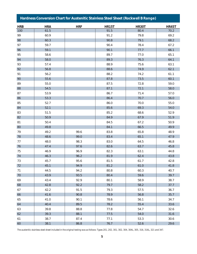### *Hardness Conversion Chart for Austenitic Stainless Steel Sheet (Rockwell B Range) HRB HRA HRF HR15T HR30T HR45T* 100 61.5 91.5 80.4 70.2 99 60.9 91.2 79.8 69.2 98 60.3 90.8 79.1 68.2 97 59.7 90.4 78.4 67.2 96 | 59.1 | 90.1 | 90.1 | 77.7 | 66.1 95 58.6 89.7 77.0 65.1 94 58.0 89.3 76.3 64.1 93 57.4 88.9 75.6 63.1 92 | 56.8 | 30.1 | 88.6 | 74.9 | 62.1 91 56.2 88.2 74.2 61.1 90 | 55.6 | 60.1 | 87.8 | 73.5 | 60.1 89 | 55.0 | 87.5 | 72.8 | 59.0 88 54.5 87.1 72.1 58.0 87 | 53.9 | 86.7 | 71.4 | 57.0 86 53.3 86.4 70.7 56.0 85 52.7 86.0 70.0 55.0 84  $\vert$  52.1  $\vert$  69.3  $\vert$  54.0 83 | 51.5 | 85.2 | 85.2 | 68.6 | 52.9 82 | 50.9 | 67.9 | 84.9 | 67.9 | 51.9 81 50.4 84.5 67.2 50.9 80 49.8 | 30.1 66.5 | 49.9 79 49.2 99.6 83.8 65.8 48.9 78 48.6 99.0 83.4 65.1 47.9 77 48.0 98.3 83.0 64.5 46.8 76 47.4 97.6 82.6 63.7 45.8 75 46.9 96.9 82.3 63.1 44.8 74 46.3 96.2 81.9 62.4 43.8 73 45.7 95.6 81.5 61.7 42.8 72 45.1 94.9 81.2 61.0 41.8 71 44.5 94.2 80.8 60.3 40.7 70 43.9 93.5 80.4 59.6 39.7 69 43.4 92.9 80.1 58.9 38.7 68 42.8 92.2 79.7 58.2 37.7 67 42.2 91.5 79.3 57.5 36.7 66 41.6 90.8 78.9 56.8 35.7 65 41.0 90.1 78.6 56.1 34.7 64 40.4 89.5 78.2 55.4 33.6 63 39.8 88.8 77.8 54.7 32.6 62 39.3 88.1 77.5 54.0 31.6 61 38.7 87.4 77.1 53.3 30.6

*Table 4 Hardness Conversion Chart for Austenitic Stainless Steel Sheet (Rockwell B Range)*

*The austenitic stainless steel sheet included in the original testing was as follows: Types 201, 202, 301, 302, 304, 304L, 305, 316, 316L, 321 and 347.*

60 38.1 86.8 76.7 52.6 29.6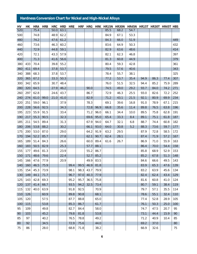#### *Table 4 Hardness Conversion Chart for Austenitic Stainless Steel Sheet (Rockwell B Range) Hardness Conversion Chart for Nickel and High-Nickel Alloys*

| HV         | HК         | <b>HRA</b>   | <b>HRB</b>   | <b>HRC</b>   |              | <b>HRD HRE</b> |      | HRF HRG      |      | HRK HR15N HR30N HR45N HR15T HR30T HR45T HBS |              |              |              |              |              |            |
|------------|------------|--------------|--------------|--------------|--------------|----------------|------|--------------|------|---------------------------------------------|--------------|--------------|--------------|--------------|--------------|------------|
| 520        |            | 75.4         |              | 50.0         | 63.1         |                |      |              |      | 85.5                                        | 68.2         | 54.7         |              |              |              |            |
| 500        |            | 74.8         |              | 48.9         | 62.2         |                |      |              |      | 84.9                                        | 67.1         | 53.3         |              |              |              |            |
| 480        |            | 74.2         |              | 47.6         | 61.2         |                |      |              |      | 84.3                                        | 66.0         | 51.9         |              |              |              | 449        |
| 460        |            | 73.6         |              | 46.3         | 60.2         |                |      |              |      | 83.6                                        | 64.9         | 50.3         |              |              |              | 432        |
| 440        |            | 72.9         |              | 44.8         | 59.1         |                |      |              |      | 82.9                                        | 63.6         | 48.6         |              |              |              | 414        |
| 420        |            | 72.1         |              | 43.3         | 57.9         |                |      |              |      | 82.1                                        | 62.3         | 46.8         |              |              |              | 397        |
| 400        |            | 71.3         |              | 41.6         | 56.6         |                |      |              |      | 81.3                                        | 60.8         | 44.9         |              |              |              | 379        |
| 380        | 433        | 70.4         |              | 39.8         | 55.2         |                |      |              |      | 80.4                                        | 59.3         | 42.8         |              |              |              | 361        |
| 360        | 411        | 69.4         |              | 37.8         | 53.7         |                |      |              |      | 79.5                                        | 57.6         | 40.6         |              |              |              | 343        |
| 340        | 388        | 68.3         |              | 37.8         | 53.7         |                |      |              |      | 78.4                                        | 55.7         | 38.1         |              |              |              | 325        |
| 320        | 365        | 67.2         |              | 33.3         | 50.3         |                |      |              |      | 77.2                                        | 53.7         | 35.4         | 94.9         | 86.3         | 77.4         | 307        |
| 300        | 342        | 65.9         |              | 30.7         | 48.4         |                |      |              |      | 76.0                                        | 51.5         | 32.5         | 94.4         | 85.2         | 75.9         | 289        |
| 280        | 320        | 64.5         |              | 27.9         | 46.2         |                |      | 90.0         |      | 74.5                                        | 49.0         | 29.2         | 93.7         | 84.0         | 74.2         | 271        |
| 260        | 297<br>274 | 62.8         |              | 24.6<br>21.0 | 43.7<br>41.0 |                |      | 86.7         |      | 72.9                                        | 46.3         | 25.5         | 93.0         | 82.6         | 72.2         | 252        |
| 240<br>220 | 251        | 61.0<br>59.0 | 99.0<br>96.1 |              | 37.9         |                |      | 82.9<br>78.3 |      | 71.2<br>69.1                                | 43.1<br>39.6 | 21.5<br>16.8 | 92.1<br>91.0 | 80.9<br>78.9 | 69.9         | 234<br>215 |
| 200        | 228        | 56.6         | 92.5         |              | 34.3         |                |      | 72.8         | 96.9 |                                             | 35.6         | 11.4         | 89.8         | 76.5         | 67.1<br>63.8 | 196        |
| 195        | 223        | 55.9         | 91.5         |              | 33.4         |                |      | 71.2         | 96.0 | 66.8                                        | 34.4         | 10.0         | 89.5         | 75.8         |              | 191        |
| 190        | 217        | 55.3         | 90.5         |              | 32.3         |                |      | 69.6         | 95.0 | 66.1<br>65.4                                | 33.3         | 8.4          | 89.1         | 75.1         | 62.8<br>61.8 | 187        |
| 185        | 211        | 54.5         | 89.4         |              | 31.3         |                |      | 67.9         | 94.0 | 64.7                                        | 32.1         | 6.8          | 88.7         | 74.4         | 60.8         | 182        |
| 180        | 206        | 53.8         | 88.2         |              | 30.2         |                |      | 66.1         | 93.0 | 64.0                                        | 30.8         | 5.2          | 88.3         | 73.6         | 59.7         | 177        |
| 175        | 200        | 53.0         | 87.0         |              | 29.0         |                |      | 64.2         | 91.9 | 63.2                                        | 29.5         |              | 87.9         | 72.8         | 58.5         | 172        |
| 170        | 194        | 52.2         | 85.7         |              | 27.8         |                |      | 62.1         | 90.7 | 62.4                                        | 28.1         |              | 87.4         | 71.9         | 57.2         | 167        |
| 165        | 189        | 51.4         | 84.3         |              | 26.6         |                |      | 60.0         | 89.4 | 61.6                                        | 26.7         |              | 86.9         | 71.0         | 55.9         | 163        |
| 160        | 183        | 50.5         | 82.9         |              | 25.3         |                |      | 57.7         | 88.1 |                                             |              |              | 86.4         | 70.0         | 54.4         | 158        |
| 155        | 177        | 49.6         | 81.3         |              | 23.9         |                |      | 55.2         | 86.7 |                                             |              |              | 85.8         | 68.9         | 52.9         | 153        |
| 150        | 171        | 48.6         | 79.6         |              | 22.4         |                |      | 52.7         | 85.2 |                                             |              |              | 85.2         | 67.8         | 51.3         | 148        |
| 145        | 166        | 47.6         | 77.9         |              | 20.9         |                |      | 49.9         | 83.5 |                                             |              |              | 84.6         | 66.6         | 49.5         | 143        |
| 140        | 160        | 46.5         | 75.9         |              |              | 99.4           | 99.5 | 46.9         | 81.8 |                                             |              |              | 83.9         | 65.3         | 47.6         | 139        |
| 135        | 154        | 45.3         | 73.9         |              |              | 98.1           | 98.3 | 43.7         | 79.9 |                                             |              |              | 83.2         | 63.9         | 45.6         | 134        |
| 130        | 149        | 44.1         | 71.7         |              |              | 96.7           | 97.0 | 40.3         | 77.9 |                                             |              |              | 82.4         | 62.4         | 43.4         | 129        |
| 125        | 143        | 42.8         | 69.3         |              |              | 95.2           | 95.7 | 36.5         | 75.8 |                                             |              |              | 81.6         | 60.8         | 41.0         | 124        |
| 120        | 137        | 41.4         | 66.7         |              |              | 93.5           | 94.2 | 32.5         | 73.4 |                                             |              |              | 80.7         | 59.1         | 38.4         | 119        |
| 115        | 132        | 40.0         | 63.9         |              |              | 91.8           | 92.5 |              | 70.9 |                                             |              |              | 79.7         | 57.1         | 35.5         | 114        |
| 110        | 126        |              | 60.9         |              |              | 89.8           | 90.8 |              | 68.1 |                                             |              |              | 78.6         | 55.1         | 32.4         | 110        |
| 105        | 120        |              | 57.5         |              |              | 87.7           | 88.8 |              | 65.0 |                                             |              |              | 77.4         | 52.8         | 28.9         | 105        |
| 100        | 115        |              | 53.8         |              |              | 85.3           | 86.7 |              | 61.7 |                                             |              |              | 76.1         | 50.3         | 25.0         | 100        |
| 95         | 109        |              | 49.8         |              |              | 82.7           | 84.4 |              | 58.0 |                                             |              |              | 74.7         | 47.5         | 20.7         | 95         |
| 90         | 103        |              | 45.2         |              |              | 79.8           | 81.8 |              | 53.8 |                                             |              |              | 73.1         | 44.4         | 15.9         | 90         |
| 85         | 97         |              | 40.2         |              |              | 76.5           | 78.8 |              | 49.2 |                                             |              |              | 71.2         | 40.9         | 10.4         | 85         |
| 80         | 92         |              | 34.5         |              |              | 72.9           | 75.6 |              | 44.0 |                                             |              |              | 69.2         | 37.0         |              | 80         |
| 75         | 86         |              | 28.0         |              |              | 68.8           | 71.8 |              | 38.2 |                                             |              |              | 66.9         | 32.6         |              | 75         |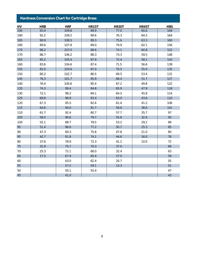#### *Table 4 Hardness Conversion Chart for Austenitic Stainless Steel Sheet (Rockwell B Range) Hardness Conversion Chart for Cartridge Brass*

| HV  | <b>HRB</b> | <b>HRF</b> | <b>HR15T</b> | <b>HR30T</b> | <b>HR45T</b> | <b>HBS</b> |
|-----|------------|------------|--------------|--------------|--------------|------------|
| 195 | 93.4       | 109.8      | 89.9         | 77.0         | 65.6         | 169        |
| 190 | 92.2       | 109.2      | 89.6         | 76.3         | 64.5         | 164        |
| 185 | 90.9       | 108.5      | 89.3         | 75.6         | 63.3         | 160        |
| 180 | 89.6       | 107.8      | 89.0         | 74.9         | 62.1         | 156        |
| 175 | 88.2       | 107.0      | 88.6         | 74.1         | 60.8         | 152        |
| 170 | 86.7       | 106.2      | 88.3         | 73.3         | 59.5         | 148        |
| 165 | 85.2       | 105.4      | 87.9         | 72.4         | 58.1         | 143        |
| 160 | 83.6       | 104.6      | 87.4         | 71.5         | 56.6         | 139        |
| 155 | 82.0       | 103.6      | 87.0         | 70.5         | 55.0         | 135        |
| 150 | 80.2       | 102.7      | 86.5         | 69.5         | 53.4         | 131        |
| 145 | 78.3       | 101.7      | 85.9         | 68.4         | 51.7         | 127        |
| 140 | 76.4       | 100.6      | 85.4         | 67.2         | 49.8         | 122        |
| 135 | 74.3       | 99.4       | 84.8         | 65.9         | 47.9         | 118        |
| 130 | 72.1       | 98.2       | 84.1         | 64.5         | 45.8         | 114        |
| 125 | 69.8       | 96.9       | 83.4         | 63.0         | 43.6         | 110        |
| 120 | 67.3       | 95.5       | 82.6         | 61.4         | 41.2         | 106        |
| 115 | 64.6       | 94.0       | 81.7         | 59.6         | 38.6         | 101        |
| 110 | 61.7       | 92.4       | 80.7         | 57.7         | 35.7         | 97         |
| 105 | 58.5       | 90.6       | 79.7         | 55.6         | 32.6         | 93         |
| 100 | 55.1       | 88.7       | 78.5         | 53.2         | 29.2         | 89         |
| 95  | 51.4       | 86.6       | 77.2         | 50.7         | 25.3         | 85         |
| 90  | 47.3       | 84.3       | 75.8         | 47.8         | 21.0         | 80         |
| 85  | 42.7       | 81.8       | 74.1         | 44.6         | 16.0         | 76         |
| 80  | 37.6       | 78.9       | 72.3         | 41.1         | 10.0         | 72         |
| 75  | 31.9       | 75.7       | 70.3         | 37.0         |              | 68         |
| 70  | 25.3       | 72.1       | 68.0         | 32.4         |              | 63         |
| 65  | 17.5       | 67.9       | 65.4         | 27.0         |              | 59         |
| 60  |            | 63.0       | 62.4         | 20.7         |              | 55         |
| 55  |            | 57.2       | 59.1         | 13.3         |              | 51         |
| 50  |            | 50.1       | 55.4         |              |              | 47         |
| 45  |            | 41.0       |              |              |              | 43         |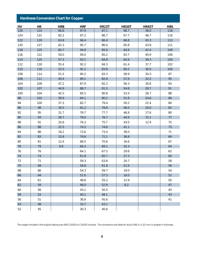| <b>Hardness Conversion Chart for Copper</b> |     |            |            |              |              |              |            |  |
|---------------------------------------------|-----|------------|------------|--------------|--------------|--------------|------------|--|
| HV                                          | H K | <b>HRB</b> | <b>HRF</b> | <b>HR15T</b> | <b>HR30T</b> | <b>HR45T</b> | <b>HBS</b> |  |
| 126                                         | 133 | 66.6       | 97.9       | 87.1         | 68.7         | 48.0         | 118        |  |
| 124                                         | 131 | 65.2       | 97.2       | 86.7         | 67.7         | 46.7         | 116        |  |
| 122                                         | 129 | 63.8       | 96.4       | 86.4         | 66.8         | 45.3         | 113        |  |
| 120                                         | 127 | 62.3       | 95.7       | 86.0         | 65.8         | 43.8         | 111        |  |
| 118                                         | 125 | 60.7       | 94.9       | 85.6         | 64.8         | 42.4         | 109        |  |
| 116                                         | 122 | 59.0       | 94.0       | 85.2         | 63.7         | 40.9         | 106        |  |
| 114                                         | 120 | 57.3       | 93.1       | 84.8         | 62.6         | 39.3         | 104        |  |
| 112                                         | 118 | 55.4       | 92.2       | 84.3         | 61.4         | 37.7         | 102        |  |
| 110                                         | 116 | 53.5       | 91.2       | 83.8         | 60.2         | 36.0         | 100        |  |
| 108                                         | 114 | 51.5       | 90.2       | 83.3         | 58.9         | 34.3         | 97         |  |
| 106                                         | 111 | 49.4       | 89.1       | 82.8         | 57.6         | 32.5         | 95         |  |
| 104                                         | 109 | 47.2       | 87.9       | 82.2         | 56.3         | 30.6         | 93         |  |
| 102                                         | 107 | 44.9       | 86.7       | 81.5         | 54.8         | 28.7         | 91         |  |
| 100                                         | 104 | 42.5       | 85.5       | 80.8         | 53.4         | 26.7         | 88         |  |
| 98                                          | 102 | 39.9       | 84.1       | 80.2         | 51.8         | 24.6         | 86         |  |
| 94                                          | 100 | 37.3       | 82.7       | 79.4         | 50.2         | 22.4         | 84         |  |
| 96                                          | 98  | 34.5       | 81.2       | 78.6         | 48.5         | 20.0         | 82         |  |
| 92                                          | 95  | 31.7       | 79.7       | 77.7         | 46.8         | 17.6         | 80         |  |
| 90                                          | 93  | 28.7       | 78.0       | 76.7         | 44.9         | 15.1         | 77         |  |
| 88                                          | 91  | 25.6       | 76.3       | 75.7         | 43.0         | 12.4         | 75         |  |
| 86                                          | 88  | 22.5       | 74.5       | 74.6         | 41.1         |              | 73         |  |
| 84                                          | 86  | 19.2       | 72.6       | 73.4         | 39.0         |              | 71         |  |
| 82                                          | 83  | 15.8       | 70.6       | 72.1         | 36.8         |              | 69         |  |
| 80                                          | 81  | 12.4       | 68.5       | 70.6         | 34.6         |              | 67         |  |
| 78                                          | 79  | 8.8        | 66.3       | 69.1         | 32.3         |              | 64         |  |
| 76                                          | 76  |            | 64.1       | 67.5         | 29.8         |              | 62         |  |
| 74                                          | 74  |            | 61.8       | 65.7         | 27.3         |              | 60         |  |
| 72                                          | 71  |            | 59.3       | 63.8         | 24.7         |              | 58         |  |
| 70                                          | 69  |            | 56.8       | 61.8         | 21.9         |              | 56         |  |
| 68                                          | 66  |            | 54.3       | 59.7         | 19.0         |              | 54         |  |
| 66                                          | 64  |            | 51.6       | 57.5         | 16.0         |              | 52         |  |
| 64                                          | 61  |            | 48.8       | 55.2         | 12.9         |              | 50         |  |
| 62                                          | 59  |            | 46.0       | 52.9         | 8.2          |              | 47         |  |
| 60                                          | 56  |            | 43.1       | 50.5         |              |              | 45         |  |
| 58                                          | 53  |            | 40.1       | 48.1         |              |              | 43         |  |
| 56                                          | 51  |            | 36.9       | 45.6         |              |              | 41         |  |
| 54                                          | 48  |            | 33.7       | 43.1         |              |              |            |  |
| 52                                          | 45  |            | 30.3       | 40.6         |              |              |            |  |

*The copper included in the original testing was UNS C10200 to C14200 inclusive. The conversions are listed for strip 0.040 in (1.02 mm) or greater in thickness.*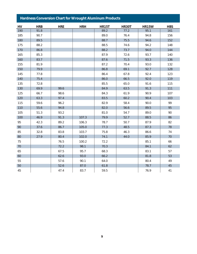| <u>Tial alloss</u><br><u>conversion onan rior wrought hammann rouders</u> |            |            |            |              |              |              |            |
|---------------------------------------------------------------------------|------------|------------|------------|--------------|--------------|--------------|------------|
| HV                                                                        | <b>HRB</b> | <b>HRE</b> | <b>HRH</b> | <b>HR15T</b> | <b>HR30T</b> | <b>HR15W</b> | <b>HBS</b> |
| 190                                                                       | 91.8       |            |            | 89.2         | 77.2         | 95.1         | 161        |
| 185                                                                       | 90.7       |            |            | 89.0         | 76.4         | 94.8         | 156        |
| 180                                                                       | 89.5       |            |            | 88.7         | 75.5         | 94.6         | 152        |
| 175                                                                       | 88.2       |            |            | 88.5         | 74.6         | 94.2         | 148        |
| 170                                                                       | 86.8       |            |            | 88.2         | 73.7         | 94.0         | 144        |
| 165                                                                       | 85.3       |            |            | 87.9         | 72.6         | 93.7         | 140        |
| 160                                                                       | 83.7       |            |            | 87.6         | 71.5         | 93.3         | 136        |
| 155                                                                       | 81.9       |            |            | 87.2         | 70.4         | 93.0         | 132        |
| 150                                                                       | 79.9       |            |            | 86.8         | 69.1         | 92.7         | 128        |
| 145                                                                       | 77.8       |            |            | 86.4         | 67.8         | 92.4         | 123        |
| 140                                                                       | 75.4       |            |            | 86.0         | 66.5         | 92.0         | 119        |
| 135                                                                       | 72.8       |            |            | 85.5         | 65.0         | 91.6         | 115        |
| 130                                                                       | 69.9       | 99.6       |            | 84.9         | 63.5         | 91.3         | 111        |
| 125                                                                       | 66.7       | 98.6       |            | 84.3         | 61.9         | 90.9         | 107        |
| 120                                                                       | 63.3       | 97.4       |            | 83.5         | 60.2         | 90.4         | 103        |
| 115                                                                       | 59.6       | 96.2       |            | 82.9         | 58.4         | 90.0         | 99         |
| 110                                                                       | 55.6       | 94.8       |            | 82.0         | 56.6         | 89.5         | 95         |
| 105                                                                       | 51.3       | 93.2       |            | 81.0         | 54.7         | 89.0         | 90         |
| 100                                                                       | 46.9       | 91.3       | 107.3      | 79.9         | 52.7         | 88.5         | 86         |
| 95                                                                        | 42.3       | 89.2       | 106.3      | 78.7         | 50.7         | 87.9         | 82         |
| 90                                                                        | 37.6       | 86.7       | 105.0      | 77.3         | 48.5         | 87.3         | 78         |
| 85                                                                        | 32.8       | 83.8       | 103.7      | 75.8         | 46.3         | 86.6         | 74         |
| 80                                                                        | 27.9       | 80.4       | 102.0      | 74.1         | 44.0         | 85.9         | 70         |
| 75                                                                        |            | 76.5       | 100.2      | 72.2         |              | 85.1         | 66         |
| 70                                                                        |            | 72.2       | 98.1       | 70.3         |              | 84.1         | 62         |
| 65                                                                        |            | 67.5       | 95.7       | 68.3         |              | 83.1         | 57         |
| 60                                                                        |            | 62.6       | 93.0       | 66.2         |              | 81.8         | 53         |
| 55                                                                        |            | 57.6       | 90.1       | 64.0         |              | 80.4         | 49         |
| 50                                                                        |            | 52.6       | 87.0       | 61.8         |              | 78.7         | 45         |
| 45                                                                        |            | 47.4       | 83.7       | 59.5         |              | 76.9         | 41         |

#### *Table 4 Hardness Conversion Chart for Austenitic Stainless Steel Sheet (Rockwell B Range) Hardness Conversion Chart for Wrought Aluminum Products*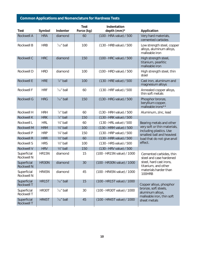## *Common Applications and Nomenclature for Hardness Tests*

| Test                             | Symbol       | <b>Indenter</b>        | <b>Test</b><br>Force (kg) | Indentation<br>depth (mm) $*$ | Application                                                              |
|----------------------------------|--------------|------------------------|---------------------------|-------------------------------|--------------------------------------------------------------------------|
| <b>Rockwell A</b>                | <b>HRA</b>   | diamond                | 60                        | (100 - HRA value) / 500       | Very hard materials,<br>cemented carbides                                |
| <b>Rockwell B</b>                | <b>HRB</b>   | $\frac{1}{16}$ " ball  | 100                       | (130 - HRB value) / 500       | Low strength steel, copper<br>alloys, aluminum alloys,<br>malleable iron |
| Rockwell C                       | <b>HRC</b>   | diamond                | 150                       | (100 - HRC value) / 500       | High strength steel,<br>titanium, pearlitic<br>malleable iron            |
| Rockwell D                       | <b>HRD</b>   | diamond                | 100                       | (100 - HRD value) / 500       | High strength steel, thin<br>steel                                       |
| <b>Rockwell E</b>                | <b>HRE</b>   | $\frac{1}{8}$ " ball   | 100                       | (130 - HRE value) / 500       | Cast iron, aluminum and<br>magnesium alloys                              |
| Rockwell F                       | <b>HRF</b>   | $\frac{1}{16}$ " ball  | 60                        | (130 - HRF value) / 500       | Annealed copper alloys,<br>thin soft metals                              |
| <b>Rockwell G</b>                | <b>HRG</b>   | $\frac{1}{16}$ " ball  | 150                       | (130 - HRG value) / 500       | Phosphor bronze,<br>beryllium copper,<br>malleable irons**               |
| Rockwell H                       | <b>HRH</b>   | $\frac{1}{8}$ " ball   | 60                        | (130 - HRH value) / 500       | Aluminum, zinc, lead                                                     |
| <b>Rockwell K</b>                | <b>HRK</b>   | $\frac{1}{8}$ " ball   | 150                       | (130 - HRK value) / 500       |                                                                          |
| Rockwell L                       | <b>HRL</b>   | 1/ <sub>4</sub> " ball | 60                        | (130 - HRL value) / 500       | Bearing metals and other                                                 |
| <b>Rockwell M</b>                | <b>HRM</b>   | 1/ <sub>4</sub> " ball | 100                       | (130 - HRM value) / 500       | very soft or thin materials,                                             |
| <b>Rockwell P</b>                | <b>HRP</b>   | 1/ <sub>4</sub> " ball | 150                       | (130 - HRP value) / 500       | including plastics. Use<br>smallest ball and heaviest                    |
| <b>Rockwell R</b>                | <b>HRR</b>   | 1/ <sub>2</sub> " ball | 60                        | (130 - HRR value) / 500       | load that do not give anvil                                              |
| Rockwell S                       | <b>HRS</b>   | 1/ <sub>2</sub> " ball | 100                       | (130 - HRS value) / 500       | effect.                                                                  |
| <b>Rockwell V</b>                | <b>HRV</b>   | 1/ <sub>2</sub> " ball | 150                       | (130 - HRV value) / 500       |                                                                          |
| Superficial<br><b>Rockwell N</b> | <b>HR15N</b> | diamond                | 15                        | (100 - HR15N value) / 1000    | Cemented carbides, thin<br>steel and case hardened                       |
| Superficial<br><b>Rockwell N</b> | HR30N        | diamond                | 30                        | (100 - HR30N value) / 1000    | steel, hard cast irons,<br>titanium, and other                           |
| Superficial<br><b>Rockwell N</b> | HR45N        | diamond                | 45                        | (100 - HR45N value) / 1000    | materials harder than<br>100HRB                                          |
| Superficial<br><b>Rockwell T</b> | <b>HR15T</b> | $\frac{1}{16}$ " ball  | 15                        | (100 - HR15T value) / 1000    | Copper alloys, phosphor                                                  |
| Superficial<br>Rockwell T        | HR30T        | $\frac{1}{16}$ " ball  | 30                        | (100 - HR30T value) / 1000    | bronze, soft steels,<br>aluminum alloys,<br>malleable iron, thin soft    |
| Superficial<br><b>Rockwell T</b> | <b>HR45T</b> | $\frac{1}{16}$ " ball  | 45                        | (100 - HR45T value) / 1000    | sheet metals                                                             |
|                                  |              |                        |                           |                               |                                                                          |